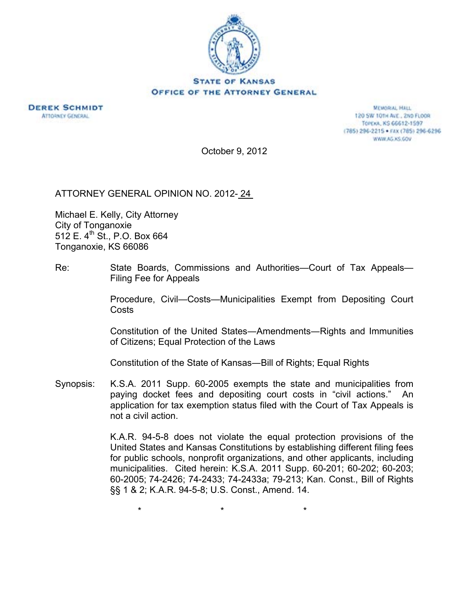



**MEMORIAL HALL** 120 SW 101H AVE., 2ND FLOOR TOPEXA, KS 66612-1597 (785) 296-2215 · FAX (785) 296-6296 WWW.AG.XS.GOV

October 9, 2012

ATTORNEY GENERAL OPINION NO. 2012- 24

Michael E. Kelly, City Attorney City of Tonganoxie 512 E.  $4^{th}$  St., P.O. Box 664 Tonganoxie, KS 66086

Re: State Boards, Commissions and Authorities—Court of Tax Appeals— Filing Fee for Appeals

> Procedure, Civil—Costs—Municipalities Exempt from Depositing Court **Costs**

> Constitution of the United States―Amendments―Rights and Immunities of Citizens; Equal Protection of the Laws

Constitution of the State of Kansas―Bill of Rights; Equal Rights

Synopsis: K.S.A. 2011 Supp. 60-2005 exempts the state and municipalities from paying docket fees and depositing court costs in "civil actions." An application for tax exemption status filed with the Court of Tax Appeals is not a civil action.

 $\star$  \*  $\star$  \*  $\star$ 

K.A.R. 94-5-8 does not violate the equal protection provisions of the United States and Kansas Constitutions by establishing different filing fees for public schools, nonprofit organizations, and other applicants, including municipalities. Cited herein: K.S.A. 2011 Supp. 60-201; 60-202; 60-203; 60-2005; 74-2426; 74-2433; 74-2433a; 79-213; Kan. Const., Bill of Rights §§ 1 & 2; K.A.R. 94-5-8; U.S. Const., Amend. 14.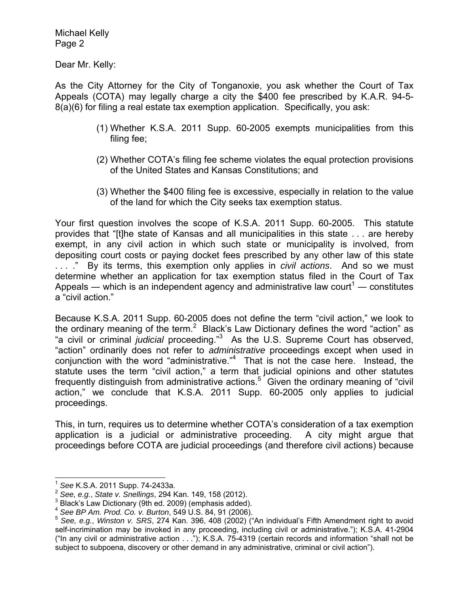Dear Mr. Kelly:

As the City Attorney for the City of Tonganoxie, you ask whether the Court of Tax Appeals (COTA) may legally charge a city the \$400 fee prescribed by K.A.R. 94-5- 8(a)(6) for filing a real estate tax exemption application. Specifically, you ask:

- (1) Whether K.S.A. 2011 Supp. 60-2005 exempts municipalities from this filing fee;
- (2) Whether COTA's filing fee scheme violates the equal protection provisions of the United States and Kansas Constitutions; and
- (3) Whether the \$400 filing fee is excessive, especially in relation to the value of the land for which the City seeks tax exemption status.

Your first question involves the scope of K.S.A. 2011 Supp. 60-2005. This statute provides that "[t]he state of Kansas and all municipalities in this state . . . are hereby exempt, in any civil action in which such state or municipality is involved, from depositing court costs or paying docket fees prescribed by any other law of this state . . . ." By its terms, this exemption only applies in *civil actions*. And so we must determine whether an application for tax exemption status filed in the Court of Tax Appeals — which is an independent agency and administrative law court<sup>1</sup> — constitutes a "civil action."

Because K.S.A. 2011 Supp. 60-2005 does not define the term "civil action," we look to the ordinary meaning of the term.<sup>2</sup> Black's Law Dictionary defines the word "action" as "a civil or criminal *judicial* proceeding."<sup>3</sup> As the U.S. Supreme Court has observed, "action" ordinarily does not refer to *administrative* proceedings except when used in conjunction with the word "administrative."4 That is not the case here. Instead, the statute uses the term "civil action," a term that judicial opinions and other statutes frequently distinguish from administrative actions.<sup>5</sup> Given the ordinary meaning of "civil action," we conclude that K.S.A. 2011 Supp. 60-2005 only applies to judicial proceedings.

This, in turn, requires us to determine whether COTA's consideration of a tax exemption application is a judicial or administrative proceeding. A city might argue that proceedings before COTA are judicial proceedings (and therefore civil actions) because

<sup>1</sup> *See* K.S.A. 2011 Supp. 74-2433a. 2 *See, e.g.*, *State v. Snellings*, 294 Kan. 149, 158 (2012). 3

 $3$  Black's Law Dictionary (9th ed. 2009) (emphasis added).

<sup>&</sup>lt;sup>4</sup> See BP Am. Prod. Co. v. Burton, 549 U.S. 84, 91 (2006).<br><sup>5</sup> See, e.g., *Winston v. SRS*, 274 Kan. 396, 408 (2002) ("An individual's Fifth Amendment right to avoid self-incrimination may be invoked in any proceeding, including civil or administrative."); K.S.A. 41-2904 ("In any civil or administrative action . . ."); K.S.A. 75-4319 (certain records and information "shall not be subject to subpoena, discovery or other demand in any administrative, criminal or civil action").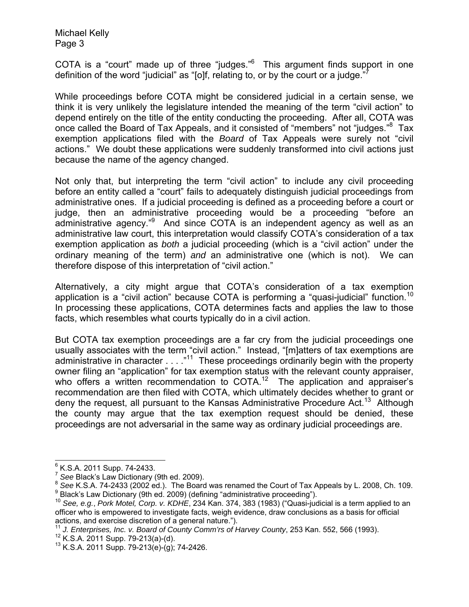COTA is a "court" made up of three "judges." $6$  This argument finds support in one definition of the word "judicial" as "[o]f, relating to, or by the court or a judge."

While proceedings before COTA might be considered judicial in a certain sense, we think it is very unlikely the legislature intended the meaning of the term "civil action" to depend entirely on the title of the entity conducting the proceeding. After all, COTA was once called the Board of Tax Appeals, and it consisted of "members" not "judges."<sup>8</sup> Tax exemption applications filed with the *Board* of Tax Appeals were surely not "civil actions." We doubt these applications were suddenly transformed into civil actions just because the name of the agency changed.

Not only that, but interpreting the term "civil action" to include any civil proceeding before an entity called a "court" fails to adequately distinguish judicial proceedings from administrative ones. If a judicial proceeding is defined as a proceeding before a court or judge, then an administrative proceeding would be a proceeding "before an administrative agency."<sup>9</sup> And since COTA is an independent agency as well as an administrative law court, this interpretation would classify COTA's consideration of a tax exemption application as *both* a judicial proceeding (which is a "civil action" under the ordinary meaning of the term) *and* an administrative one (which is not). We can therefore dispose of this interpretation of "civil action."

Alternatively, a city might argue that COTA's consideration of a tax exemption application is a "civil action" because COTA is performing a "quasi-judicial" function.<sup>10</sup> In processing these applications, COTA determines facts and applies the law to those facts, which resembles what courts typically do in a civil action.

But COTA tax exemption proceedings are a far cry from the judicial proceedings one usually associates with the term "civil action." Instead, "[m]atters of tax exemptions are administrative in character . . . . "<sup>11</sup> These proceedings ordinarily begin with the property owner filing an "application" for tax exemption status with the relevant county appraiser, who offers a written recommendation to COTA.<sup>12</sup> The application and appraiser's recommendation are then filed with COTA, which ultimately decides whether to grant or deny the request, all pursuant to the Kansas Administrative Procedure Act.<sup>13</sup> Although the county may argue that the tax exemption request should be denied, these proceedings are not adversarial in the same way as ordinary judicial proceedings are.

 $\overline{\phantom{a}}$ <sup>6</sup> K.S.A. 2011 Supp. 74-2433.

<sup>&</sup>lt;sup>7</sup> See Black's Law Dictionary (9th ed. 2009).<br><sup>8</sup> See K.S.A. 74-2433 (2002 ed.). The Board was renamed the Court of Tax Appeals by L. 2008, Ch. 109.<br><sup>9</sup> Black's Law Dictionary (9th ed. 2009) (defining "administrative proc

<sup>&</sup>lt;sup>10</sup> See, e.g., *Pork Motel, Corp. v. KDHE*, 234 Kan. 374, 383 (1983) ("Quasi-judicial is a term applied to an officer who is empowered to investigate facts, weigh evidence, draw conclusions as a basis for official actions, and exercise discretion of a general nature.").

<sup>&</sup>lt;sup>11</sup> J. Enterprises, Inc. v. Board of County Comm'rs of Harvey County, 253 Kan. 552, 566 (1993).<br><sup>12</sup> K.S.A. 2011 Supp. 79-213(a)-(d). 13 K.S.A. 2011 Supp. 79-213(e)-(g); 74-2426.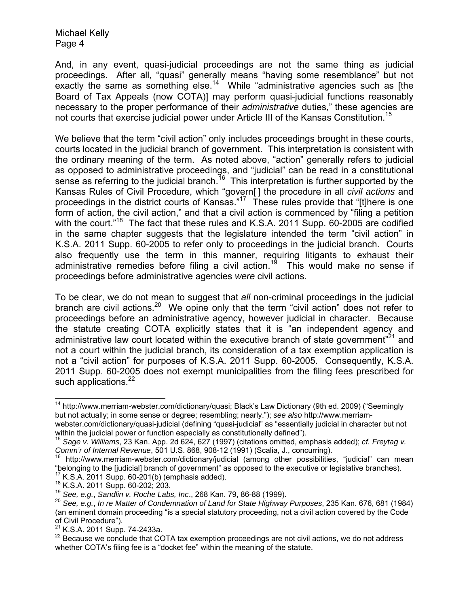And, in any event, quasi-judicial proceedings are not the same thing as judicial proceedings. After all, "quasi" generally means "having some resemblance" but not exactly the same as something else.<sup>14</sup> While "administrative agencies such as [the Board of Tax Appeals (now COTA)] may perform quasi-judicial functions reasonably necessary to the proper performance of their *administrative* duties," these agencies are not courts that exercise judicial power under Article III of the Kansas Constitution.<sup>15</sup>

We believe that the term "civil action" only includes proceedings brought in these courts, courts located in the judicial branch of government. This interpretation is consistent with the ordinary meaning of the term. As noted above, "action" generally refers to judicial as opposed to administrative proceedings, and "judicial" can be read in a constitutional sense as referring to the judicial branch.<sup>16</sup> This interpretation is further supported by the Kansas Rules of Civil Procedure, which "govern[ ] the procedure in all *civil actions* and proceedings in the district courts of Kansas."17 These rules provide that "[t]here is one form of action, the civil action," and that a civil action is commenced by "filing a petition with the court.<sup>"18</sup> The fact that these rules and K.S.A. 2011 Supp. 60-2005 are codified in the same chapter suggests that the legislature intended the term "civil action" in K.S.A. 2011 Supp. 60-2005 to refer only to proceedings in the judicial branch. Courts also frequently use the term in this manner, requiring litigants to exhaust their administrative remedies before filing a civil action.<sup>19</sup> This would make no sense if proceedings before administrative agencies *were* civil actions.

To be clear, we do not mean to suggest that *all* non-criminal proceedings in the judicial branch are civil actions.<sup>20</sup> We opine only that the term "civil action" does not refer to proceedings before an administrative agency, however judicial in character. Because the statute creating COTA explicitly states that it is "an independent agency and administrative law court located within the executive branch of state government<sup>"21</sup> and not a court within the judicial branch, its consideration of a tax exemption application is not a "civil action" for purposes of K.S.A. 2011 Supp. 60-2005. Consequently, K.S.A. 2011 Supp. 60-2005 does not exempt municipalities from the filing fees prescribed for such applications.<sup>22</sup>

<sup>&</sup>lt;sup>14</sup> http://www.merriam-webster.com/dictionary/quasi; Black's Law Dictionary (9th ed. 2009) ("Seemingly but not actually; in some sense or degree; resembling; nearly."); *see also* http://www.merriamwebster.com/dictionary/quasi-judicial (defining "quasi-judicial" as "essentially judicial in character but not

within the judicial power or function especially as constitutionally defined").<br><sup>15</sup> *Sage v. Williams*, 23 Kan. App. 2d 624, 627 (1997) (citations omitted, emphasis added); *cf. Freytag v.* 

*Comm'r of Internal Revenue*, 501 U.S. 868, 908-12 (1991) (Scalia, J., concurring).<br><sup>16</sup> http://www.merriam-webster.com/dictionary/judicial (among other possibilities, "judicial" can mean<br>"belonging to the [judicial] branc

<sup>&</sup>lt;sup>17</sup> K.S.A. 2011 Supp. 60-201(b) (emphasis added).<br><sup>18</sup> K.S.A. 2011 Supp. 60-202; 203.<br><sup>19</sup> See, e.g., Sandlin v. Roche Labs, Inc., 268 Kan. 79, 86-88 (1999).<br><sup>20</sup> See, e.g., In re Matter of Condemnation of Land for State (an eminent domain proceeding "is a special statutory proceeding, not a civil action covered by the Code of Civil Procedure").<br><sup>21</sup> K.S.A. 2011 Supp. 74-2433a.

 $22$  Because we conclude that COTA tax exemption proceedings are not civil actions, we do not address whether COTA's filing fee is a "docket fee" within the meaning of the statute.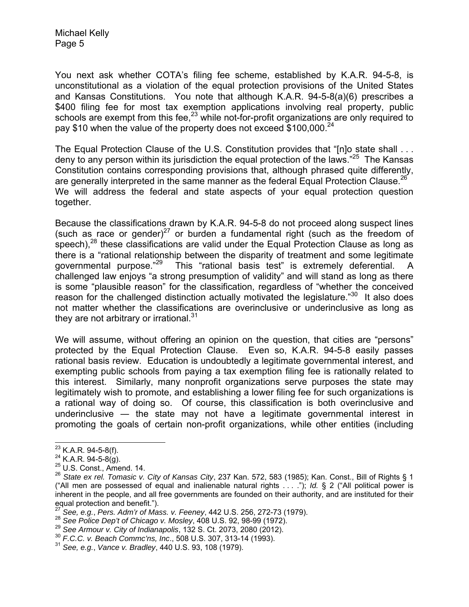You next ask whether COTA's filing fee scheme, established by K.A.R. 94-5-8, is unconstitutional as a violation of the equal protection provisions of the United States and Kansas Constitutions. You note that although K.A.R. 94-5-8(a)(6) prescribes a \$400 filing fee for most tax exemption applications involving real property, public schools are exempt from this fee, $^{23}$  while not-for-profit organizations are only required to pay \$10 when the value of the property does not exceed \$100,000.<sup>24</sup>

The Equal Protection Clause of the U.S. Constitution provides that "[n]o state shall . . . deny to any person within its jurisdiction the equal protection of the laws."25 The Kansas Constitution contains corresponding provisions that, although phrased quite differently, are generally interpreted in the same manner as the federal Equal Protection Clause.<sup>26</sup> We will address the federal and state aspects of your equal protection question together.

Because the classifications drawn by K.A.R. 94-5-8 do not proceed along suspect lines (such as race or gender)<sup>27</sup> or burden a fundamental right (such as the freedom of speech), $^{28}$  these classifications are valid under the Equal Protection Clause as long as there is a "rational relationship between the disparity of treatment and some legitimate governmental purpose."<sup>29</sup> This "rational basis test" is extremely deferential. A challenged law enjoys "a strong presumption of validity" and will stand as long as there is some "plausible reason" for the classification, regardless of "whether the conceived reason for the challenged distinction actually motivated the legislature."<sup>30</sup> It also does not matter whether the classifications are overinclusive or underinclusive as long as they are not arbitrary or irrational. $31$ 

We will assume, without offering an opinion on the question, that cities are "persons" protected by the Equal Protection Clause. Even so, K.A.R. 94-5-8 easily passes rational basis review. Education is undoubtedly a legitimate governmental interest, and exempting public schools from paying a tax exemption filing fee is rationally related to this interest. Similarly, many nonprofit organizations serve purposes the state may legitimately wish to promote, and establishing a lower filing fee for such organizations is a rational way of doing so. Of course, this classification is both overinclusive and underinclusive  $-$  the state may not have a legitimate governmental interest in promoting the goals of certain non-profit organizations, while other entities (including

<sup>&</sup>lt;sup>23</sup> K.A.R. 94-5-8(f).<br><sup>24</sup> K.A.R. 94-5-8(g).<br><sup>25</sup> U.S. Const., Amend. 14.

<sup>26</sup> *State ex rel. Tomasic v. City of Kansas City*, 237 Kan. 572, 583 (1985); Kan. Const., Bill of Rights § 1 ("All men are possessed of equal and inalienable natural rights . . . ."); *Id.* § 2 ("All political power is inherent in the people, and all free governments are founded on their authority, and are instituted for their equal protection and benefit.").

<sup>&</sup>lt;sup>27</sup> See, e.g., Pers. Adm'r of Mass. v. Feeney, 442 U.S. 256, 272-73 (1979).<br><sup>28</sup> See Police Dep't of Chicago v. Mosley, 408 U.S. 92, 98-99 (1972).<br><sup>29</sup> See Armour v. City of Indianapolis, 132 S. Ct. 2073, 2080 (2012).<br><sup>3</sup>